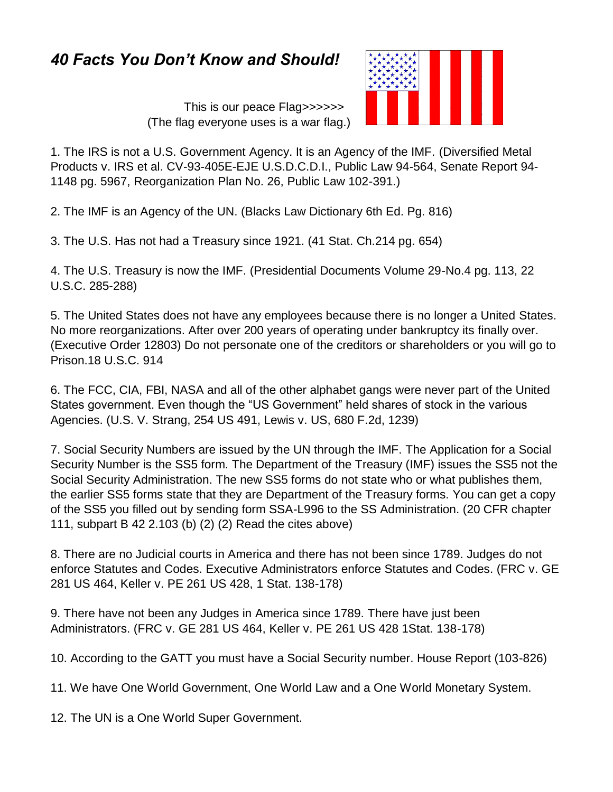## *40 Facts You Don't Know and Should!*

 This is our peace Flag>>>>>> (The flag everyone uses is a war flag.)



1. The IRS is not a U.S. Government Agency. It is an Agency of the IMF. (Diversified Metal Products v. IRS et al. CV-93-405E-EJE U.S.D.C.D.I., Public Law 94-564, Senate Report 94- 1148 pg. 5967, Reorganization Plan No. 26, Public Law 102-391.)

2. The IMF is an Agency of the UN. (Blacks Law Dictionary 6th Ed. Pg. 816)

3. The U.S. Has not had a Treasury since 1921. (41 Stat. Ch.214 pg. 654)

4. The U.S. Treasury is now the IMF. (Presidential Documents Volume 29-No.4 pg. 113, 22 U.S.C. 285-288)

5. The United States does not have any employees because there is no longer a United States. No more reorganizations. After over 200 years of operating under bankruptcy its finally over. (Executive Order 12803) Do not personate one of the creditors or shareholders or you will go to Prison.18 U.S.C. 914

6. The FCC, CIA, FBI, NASA and all of the other alphabet gangs were never part of the United States government. Even though the "US Government" held shares of stock in the various Agencies. (U.S. V. Strang, 254 US 491, Lewis v. US, 680 F.2d, 1239)

7. Social Security Numbers are issued by the UN through the IMF. The Application for a Social Security Number is the SS5 form. The Department of the Treasury (IMF) issues the SS5 not the Social Security Administration. The new SS5 forms do not state who or what publishes them, the earlier SS5 forms state that they are Department of the Treasury forms. You can get a copy of the SS5 you filled out by sending form SSA-L996 to the SS Administration. (20 CFR chapter 111, subpart B 42 2.103 (b) (2) (2) Read the cites above)

8. There are no Judicial courts in America and there has not been since 1789. Judges do not enforce Statutes and Codes. Executive Administrators enforce Statutes and Codes. (FRC v. GE 281 US 464, Keller v. PE 261 US 428, 1 Stat. 138-178)

9. There have not been any Judges in America since 1789. There have just been Administrators. (FRC v. GE 281 US 464, Keller v. PE 261 US 428 1Stat. 138-178)

10. According to the GATT you must have a Social Security number. House Report (103-826)

11. We have One World Government, One World Law and a One World Monetary System.

12. The UN is a One World Super Government.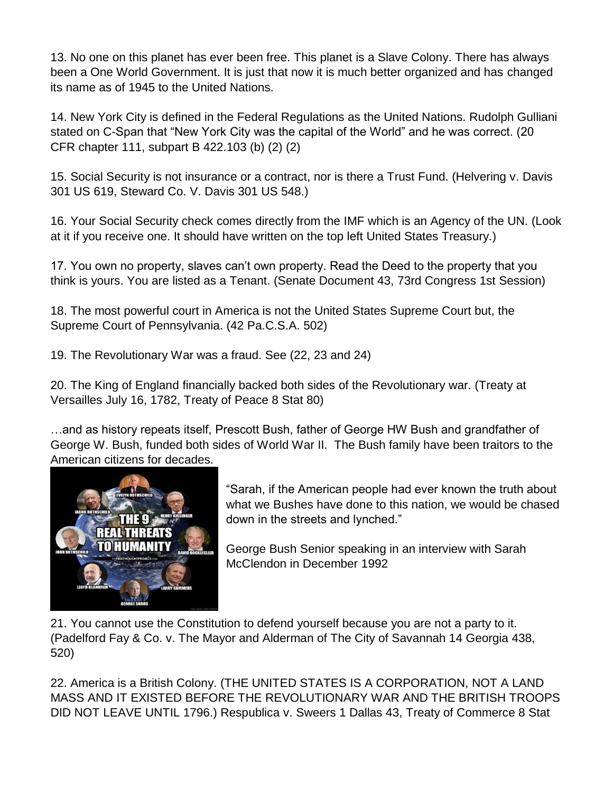13. No one on this planet has ever been free. This planet is a Slave Colony. There has always been a One World Government. It is just that now it is much better organized and has changed its name as of 1945 to the United Nations.

14. New York City is defined in the Federal Regulations as the United Nations. Rudolph Gulliani stated on C-Span that "New York City was the capital of the World" and he was correct. (20 CFR chapter 111, subpart B 422.103 (b) (2) (2)

15. Social Security is not insurance or a contract, nor is there a Trust Fund. (Helvering v. Davis 301 US 619, Steward Co. V. Davis 301 US 548.)

16. Your Social Security check comes directly from the IMF which is an Agency of the UN. (Look at it if you receive one. It should have written on the top left United States Treasury.)

17. You own no property, slaves can't own property. Read the Deed to the property that you think is yours. You are listed as a Tenant. (Senate Document 43, 73rd Congress 1st Session)

18. The most powerful court in America is not the United States Supreme Court but, the Supreme Court of Pennsylvania. (42 Pa.C.S.A. 502)

19. The Revolutionary War was a fraud. See (22, 23 and 24)

20. The King of England financially backed both sides of the Revolutionary war. (Treaty at Versailles July 16, 1782, Treaty of Peace 8 Stat 80)

…and as history repeats itself, Prescott Bush, father of George HW Bush and grandfather of George W. Bush, funded both sides of World War II. The Bush family have been traitors to the American citizens for decades.



"Sarah, if the American people had ever known the truth about what we Bushes have done to this nation, we would be chased down in the streets and lynched."

George Bush Senior speaking in an interview with Sarah McClendon in December 1992

21. You cannot use the Constitution to defend yourself because you are not a party to it. (Padelford Fay & Co. v. The Mayor and Alderman of The City of Savannah 14 Georgia 438, 520)

22. America is a British Colony. (THE UNITED STATES IS A CORPORATION, NOT A LAND MASS AND IT EXISTED BEFORE THE REVOLUTIONARY WAR AND THE BRITISH TROOPS DID NOT LEAVE UNTIL 1796.) Respublica v. Sweers 1 Dallas 43, Treaty of Commerce 8 Stat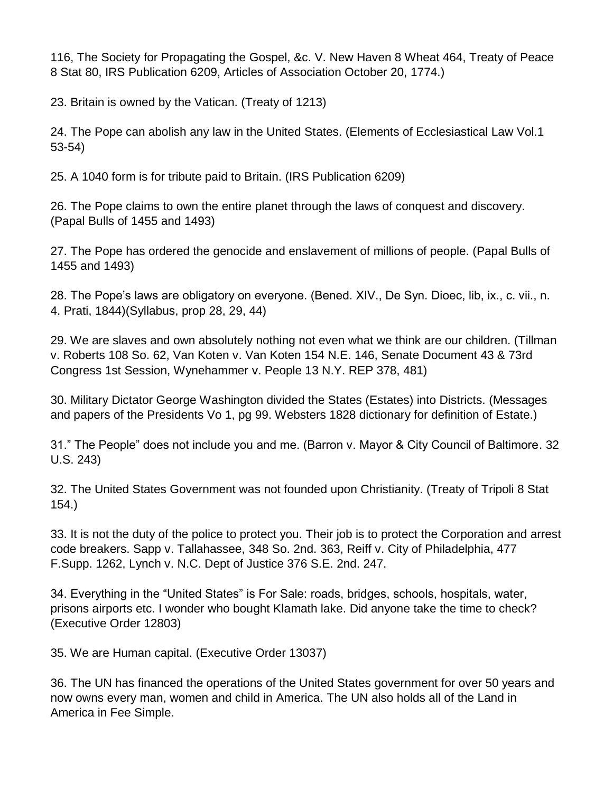116, The Society for Propagating the Gospel, &c. V. New Haven 8 Wheat 464, Treaty of Peace 8 Stat 80, IRS Publication 6209, Articles of Association October 20, 1774.)

23. Britain is owned by the Vatican. (Treaty of 1213)

24. The Pope can abolish any law in the United States. (Elements of Ecclesiastical Law Vol.1 53-54)

25. A 1040 form is for tribute paid to Britain. (IRS Publication 6209)

26. The Pope claims to own the entire planet through the laws of conquest and discovery. (Papal Bulls of 1455 and 1493)

27. The Pope has ordered the genocide and enslavement of millions of people. (Papal Bulls of 1455 and 1493)

28. The Pope's laws are obligatory on everyone. (Bened. XIV., De Syn. Dioec, lib, ix., c. vii., n. 4. Prati, 1844)(Syllabus, prop 28, 29, 44)

29. We are slaves and own absolutely nothing not even what we think are our children. (Tillman v. Roberts 108 So. 62, Van Koten v. Van Koten 154 N.E. 146, Senate Document 43 & 73rd Congress 1st Session, Wynehammer v. People 13 N.Y. REP 378, 481)

30. Military Dictator George Washington divided the States (Estates) into Districts. (Messages and papers of the Presidents Vo 1, pg 99. Websters 1828 dictionary for definition of Estate.)

31." The People" does not include you and me. (Barron v. Mayor & City Council of Baltimore. 32 U.S. 243)

32. The United States Government was not founded upon Christianity. (Treaty of Tripoli 8 Stat 154.)

33. It is not the duty of the police to protect you. Their job is to protect the Corporation and arrest code breakers. Sapp v. Tallahassee, 348 So. 2nd. 363, Reiff v. City of Philadelphia, 477 F.Supp. 1262, Lynch v. N.C. Dept of Justice 376 S.E. 2nd. 247.

34. Everything in the "United States" is For Sale: roads, bridges, schools, hospitals, water, prisons airports etc. I wonder who bought Klamath lake. Did anyone take the time to check? (Executive Order 12803)

35. We are Human capital. (Executive Order 13037)

36. The UN has financed the operations of the United States government for over 50 years and now owns every man, women and child in America. The UN also holds all of the Land in America in Fee Simple.